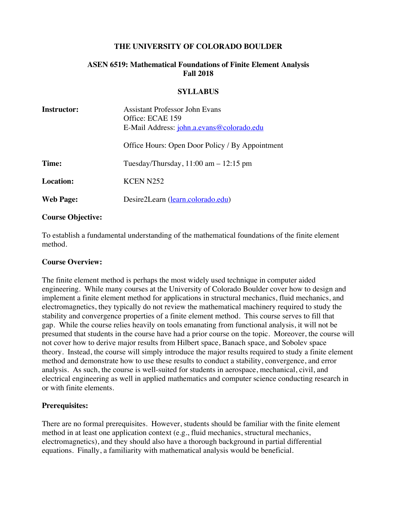### **THE UNIVERSITY OF COLORADO BOULDER**

## **ASEN 6519: Mathematical Foundations of Finite Element Analysis Fall 2018**

#### **SYLLABUS**

| <b>Instructor:</b> | <b>Assistant Professor John Evans</b>           |
|--------------------|-------------------------------------------------|
|                    | Office: ECAE 159                                |
|                    | E-Mail Address: john.a.evans@colorado.edu       |
|                    | Office Hours: Open Door Policy / By Appointment |
| Time:              | Tuesday/Thursday, $11:00$ am $-12:15$ pm        |
| <b>Location:</b>   | <b>KCEN N252</b>                                |
| <b>Web Page:</b>   | Desire2Learn (learn.colorado.edu)               |

#### **Course Objective:**

To establish a fundamental understanding of the mathematical foundations of the finite element method.

### **Course Overview:**

The finite element method is perhaps the most widely used technique in computer aided engineering. While many courses at the University of Colorado Boulder cover how to design and implement a finite element method for applications in structural mechanics, fluid mechanics, and electromagnetics, they typically do not review the mathematical machinery required to study the stability and convergence properties of a finite element method. This course serves to fill that gap. While the course relies heavily on tools emanating from functional analysis, it will not be presumed that students in the course have had a prior course on the topic. Moreover, the course will not cover how to derive major results from Hilbert space, Banach space, and Sobolev space theory. Instead, the course will simply introduce the major results required to study a finite element method and demonstrate how to use these results to conduct a stability, convergence, and error analysis. As such, the course is well-suited for students in aerospace, mechanical, civil, and electrical engineering as well in applied mathematics and computer science conducting research in or with finite elements.

### **Prerequisites:**

There are no formal prerequisites. However, students should be familiar with the finite element method in at least one application context (e.g., fluid mechanics, structural mechanics, electromagnetics), and they should also have a thorough background in partial differential equations. Finally, a familiarity with mathematical analysis would be beneficial.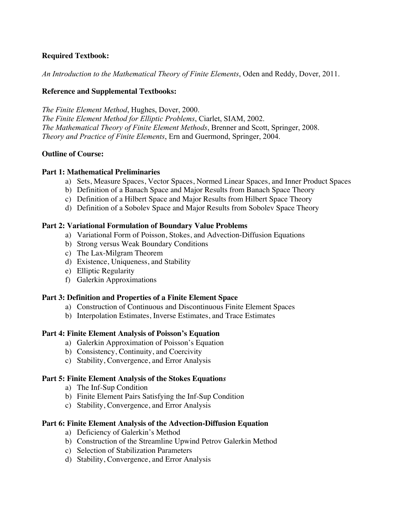# **Required Textbook:**

*An Introduction to the Mathematical Theory of Finite Elements*, Oden and Reddy, Dover, 2011.

### **Reference and Supplemental Textbooks:**

*The Finite Element Method*, Hughes, Dover, 2000. *The Finite Element Method for Elliptic Problems*, Ciarlet, SIAM, 2002. *The Mathematical Theory of Finite Element Methods*, Brenner and Scott, Springer, 2008. *Theory and Practice of Finite Elements*, Ern and Guermond, Springer, 2004.

### **Outline of Course:**

### **Part 1: Mathematical Preliminaries**

- a) Sets, Measure Spaces, Vector Spaces, Normed Linear Spaces, and Inner Product Spaces
- b) Definition of a Banach Space and Major Results from Banach Space Theory
- c) Definition of a Hilbert Space and Major Results from Hilbert Space Theory
- d) Definition of a Sobolev Space and Major Results from Sobolev Space Theory

### **Part 2: Variational Formulation of Boundary Value Problems**

- a) Variational Form of Poisson, Stokes, and Advection-Diffusion Equations
- b) Strong versus Weak Boundary Conditions
- c) The Lax-Milgram Theorem
- d) Existence, Uniqueness, and Stability
- e) Elliptic Regularity
- f) Galerkin Approximations

### **Part 3: Definition and Properties of a Finite Element Space**

- a) Construction of Continuous and Discontinuous Finite Element Spaces
- b) Interpolation Estimates, Inverse Estimates, and Trace Estimates

## **Part 4: Finite Element Analysis of Poisson's Equation**

- a) Galerkin Approximation of Poisson's Equation
- b) Consistency, Continuity, and Coercivity
- c) Stability, Convergence, and Error Analysis

## **Part 5: Finite Element Analysis of the Stokes Equation***s*

- a) The Inf-Sup Condition
- b) Finite Element Pairs Satisfying the Inf-Sup Condition
- c) Stability, Convergence, and Error Analysis

### **Part 6: Finite Element Analysis of the Advection-Diffusion Equation**

- a) Deficiency of Galerkin's Method
- b) Construction of the Streamline Upwind Petrov Galerkin Method
- c) Selection of Stabilization Parameters
- d) Stability, Convergence, and Error Analysis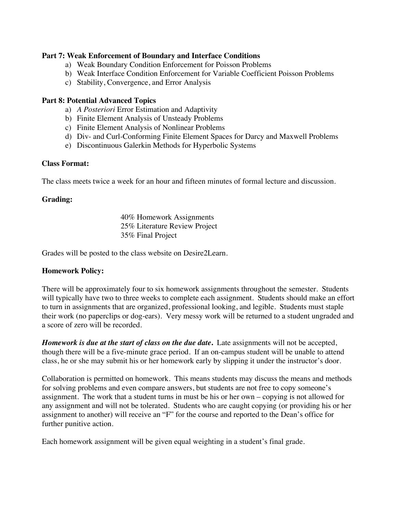### **Part 7: Weak Enforcement of Boundary and Interface Conditions**

- a) Weak Boundary Condition Enforcement for Poisson Problems
- b) Weak Interface Condition Enforcement for Variable Coefficient Poisson Problems
- c) Stability, Convergence, and Error Analysis

### **Part 8: Potential Advanced Topics**

- a) *A Posteriori* Error Estimation and Adaptivity
- b) Finite Element Analysis of Unsteady Problems
- c) Finite Element Analysis of Nonlinear Problems
- d) Div- and Curl-Conforming Finite Element Spaces for Darcy and Maxwell Problems
- e) Discontinuous Galerkin Methods for Hyperbolic Systems

### **Class Format:**

The class meets twice a week for an hour and fifteen minutes of formal lecture and discussion.

### **Grading:**

40% Homework Assignments 25% Literature Review Project 35% Final Project

Grades will be posted to the class website on Desire2Learn.

## **Homework Policy:**

There will be approximately four to six homework assignments throughout the semester. Students will typically have two to three weeks to complete each assignment. Students should make an effort to turn in assignments that are organized, professional looking, and legible. Students must staple their work (no paperclips or dog-ears). Very messy work will be returned to a student ungraded and a score of zero will be recorded.

*Homework is due at the start of class on the due date***.** Late assignments will not be accepted, though there will be a five-minute grace period. If an on-campus student will be unable to attend class, he or she may submit his or her homework early by slipping it under the instructor's door.

Collaboration is permitted on homework. This means students may discuss the means and methods for solving problems and even compare answers, but students are not free to copy someone's assignment. The work that a student turns in must be his or her own – copying is not allowed for any assignment and will not be tolerated. Students who are caught copying (or providing his or her assignment to another) will receive an "F" for the course and reported to the Dean's office for further punitive action.

Each homework assignment will be given equal weighting in a student's final grade.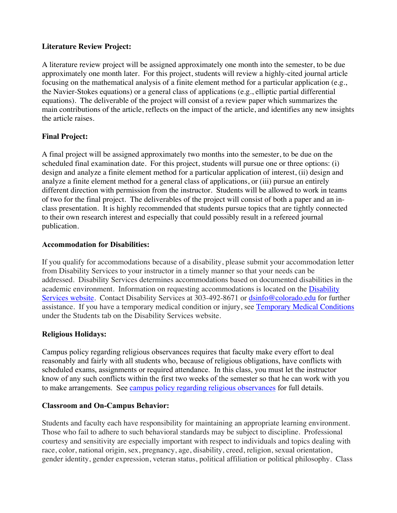## **Literature Review Project:**

A literature review project will be assigned approximately one month into the semester, to be due approximately one month later. For this project, students will review a highly-cited journal article focusing on the mathematical analysis of a finite element method for a particular application (e.g., the Navier-Stokes equations) or a general class of applications (e.g., elliptic partial differential equations). The deliverable of the project will consist of a review paper which summarizes the main contributions of the article, reflects on the impact of the article, and identifies any new insights the article raises.

# **Final Project:**

A final project will be assigned approximately two months into the semester, to be due on the scheduled final examination date. For this project, students will pursue one or three options: (i) design and analyze a finite element method for a particular application of interest, (ii) design and analyze a finite element method for a general class of applications, or (iii) pursue an entirely different direction with permission from the instructor. Students will be allowed to work in teams of two for the final project. The deliverables of the project will consist of both a paper and an inclass presentation. It is highly recommended that students pursue topics that are tightly connected to their own research interest and especially that could possibly result in a refereed journal publication.

## **Accommodation for Disabilities:**

If you qualify for accommodations because of a disability, please submit your accommodation letter from Disability Services to your instructor in a timely manner so that your needs can be addressed. Disability Services determines accommodations based on documented disabilities in the academic environment. Information on requesting accommodations is located on the Disability Services website. Contact Disability Services at 303-492-8671 or dsinfo@colorado.edu for further assistance. If you have a temporary medical condition or injury, see Temporary Medical Conditions under the Students tab on the Disability Services website.

## **Religious Holidays:**

Campus policy regarding religious observances requires that faculty make every effort to deal reasonably and fairly with all students who, because of religious obligations, have conflicts with scheduled exams, assignments or required attendance. In this class, you must let the instructor know of any such conflicts within the first two weeks of the semester so that he can work with you to make arrangements. See campus policy regarding religious observances for full details.

## **Classroom and On-Campus Behavior:**

Students and faculty each have responsibility for maintaining an appropriate learning environment. Those who fail to adhere to such behavioral standards may be subject to discipline. Professional courtesy and sensitivity are especially important with respect to individuals and topics dealing with race, color, national origin, sex, pregnancy, age, disability, creed, religion, sexual orientation, gender identity, gender expression, veteran status, political affiliation or political philosophy. Class